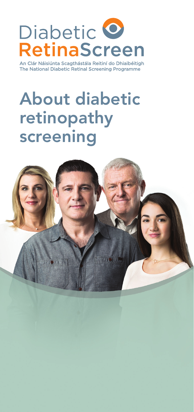

An Clár Náisiúnta Scagthástála Reitiní do Dhiaibéitigh The National Diabetic Retinal Screening Programme

# About diabetic retinopathy screening

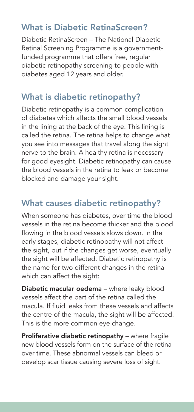# What is Diabetic RetinaScreen?

Diabetic RetinaScreen – The National Diabetic Retinal Screening Programme is a governmentfunded programme that offers free, regular diabetic retinopathy screening to people with diabetes aged 12 years and older.

## What is diabetic retinopathy?

Diabetic retinopathy is a common complication of diabetes which affects the small blood vessels in the lining at the back of the eye. This lining is called the retina. The retina helps to change what you see into messages that travel along the sight nerve to the brain. A healthy retina is necessary for good eyesight. Diabetic retinopathy can cause the blood vessels in the retina to leak or become blocked and damage your sight.

# What causes diabetic retinopathy?

When someone has diabetes, over time the blood vessels in the retina become thicker and the blood flowing in the blood vessels slows down. In the early stages, diabetic retinopathy will not affect the sight, but if the changes get worse, eventually the sight will be affected. Diabetic retinopathy is the name for two different changes in the retina which can affect the sight:

Diabetic macular oedema – where leaky blood vessels affect the part of the retina called the macula. If fluid leaks from these vessels and affects the centre of the macula, the sight will be affected. This is the more common eye change.

Proliferative diabetic retinopathy - where fragile new blood vessels form on the surface of the retina over time. These abnormal vessels can bleed or develop scar tissue causing severe loss of sight.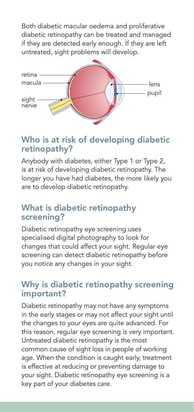Both diabetic macular oedema and proliferative diabetic retinopathy can be treated and managed if they are detected early enough. If they are left untreated, sight problems will develop.



## Who is at risk of developing diabetic retinopathy?

Anybody with diabetes, either Type 1 or Type 2, is at risk of developing diabetic retinopathy. The longer you have had diabetes, the more likely you are to develop diabetic retinopathy.

### What is diabetic retinopathy screening?

Diabetic retinopathy eye screening uses specialised digital photography to look for changes that could affect your sight. Regular eye screening can detect diabetic retinopathy before you notice any changes in your sight.

#### Why is diabetic retinopathy screening important?

Diabetic retinopathy may not have any symptoms in the early stages or may not affect your sight until the changes to your eyes are quite advanced. For this reason, regular eye screening is very important. Untreated diabetic retinopathy is the most common cause of sight loss in people of working age. When the condition is caught early, treatment is effective at reducing or preventing damage to your sight. Diabetic retinopathy eye screening is a key part of your diabetes care.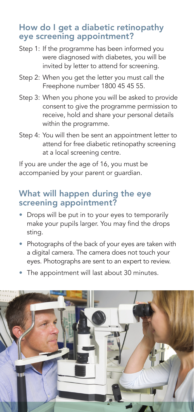## How do I get a diabetic retinopathy eye screening appointment?

- Step 1: If the programme has been informed you were diagnosed with diabetes, you will be invited by letter to attend for screening.
- Step 2: When you get the letter you must call the Freephone number 1800 45 45 55.
- Step 3: When you phone you will be asked to provide consent to give the programme permission to receive, hold and share your personal details within the programme.
- Step 4: You will then be sent an appointment letter to attend for free diabetic retinopathy screening at a local screening centre.

If you are under the age of 16, you must be accompanied by your parent or guardian.

### What will happen during the eye screening appointment?

- Drops will be put in to your eyes to temporarily make your pupils larger. You may find the drops sting.
- Photographs of the back of your eyes are taken with a digital camera. The camera does not touch your eyes. Photographs are sent to an expert to review.
- The appointment will last about 30 minutes.

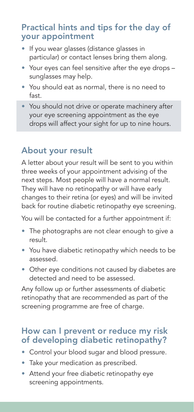## Practical hints and tips for the day of your appointment

- If you wear glasses (distance glasses in particular) or contact lenses bring them along.
- Your eyes can feel sensitive after the eye drops sunglasses may help.
- You should eat as normal, there is no need to fast.
- You should not drive or operate machinery after your eye screening appointment as the eye drops will affect your sight for up to nine hours.

# About your result

A letter about your result will be sent to you within three weeks of your appointment advising of the next steps. Most people will have a normal result. They will have no retinopathy or will have early changes to their retina (or eyes) and will be invited back for routine diabetic retinopathy eye screening.

You will be contacted for a further appointment if:

- The photographs are not clear enough to give a result.
- You have diabetic retinopathy which needs to be assessed.
- Other eye conditions not caused by diabetes are detected and need to be assessed.

Any follow up or further assessments of diabetic retinopathy that are recommended as part of the screening programme are free of charge.

#### How can I prevent or reduce my risk of developing diabetic retinopathy?

- Control your blood sugar and blood pressure.
- Take your medication as prescribed.
- Attend your free diabetic retinopathy eye screening appointments.